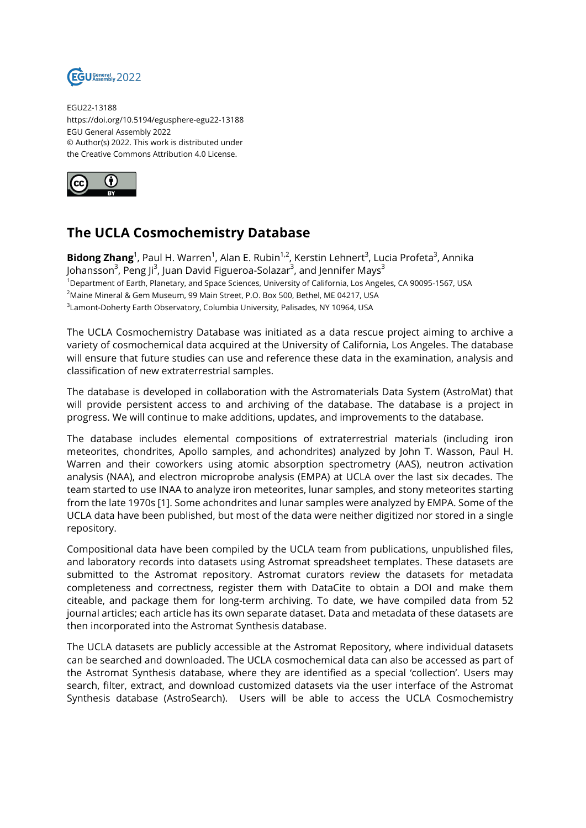

EGU22-13188 https://doi.org/10.5194/egusphere-egu22-13188 EGU General Assembly 2022 © Author(s) 2022. This work is distributed under the Creative Commons Attribution 4.0 License.



## **The UCLA Cosmochemistry Database**

**Bidong Zhang**<sup>1</sup>, Paul H. Warren<sup>1</sup>, Alan E. Rubin<sup>1,2</sup>, Kerstin Lehnert<sup>3</sup>, Lucia Profeta<sup>3</sup>, Annika Johansson<sup>3</sup>, Peng Ji<sup>3</sup>, Juan David Figueroa-Solazar<sup>3</sup>, and Jennifer Mays<sup>3</sup> <sup>1</sup>Department of Earth, Planetary, and Space Sciences, University of California, Los Angeles, CA 90095-1567, USA <sup>2</sup>Maine Mineral & Gem Museum, 99 Main Street, P.O. Box 500, Bethel, ME 04217, USA  $^3$ Lamont-Doherty Earth Observatory, Columbia University, Palisades, NY 10964, USA

The UCLA Cosmochemistry Database was initiated as a data rescue project aiming to archive a variety of cosmochemical data acquired at the University of California, Los Angeles. The database will ensure that future studies can use and reference these data in the examination, analysis and classification of new extraterrestrial samples.

The database is developed in collaboration with the Astromaterials Data System (AstroMat) that will provide persistent access to and archiving of the database. The database is a project in progress. We will continue to make additions, updates, and improvements to the database.

The database includes elemental compositions of extraterrestrial materials (including iron meteorites, chondrites, Apollo samples, and achondrites) analyzed by John T. Wasson, Paul H. Warren and their coworkers using atomic absorption spectrometry (AAS), neutron activation analysis (NAA), and electron microprobe analysis (EMPA) at UCLA over the last six decades. The team started to use INAA to analyze iron meteorites, lunar samples, and stony meteorites starting from the late 1970s [1]. Some achondrites and lunar samples were analyzed by EMPA. Some of the UCLA data have been published, but most of the data were neither digitized nor stored in a single repository.

Compositional data have been compiled by the UCLA team from publications, unpublished files, and laboratory records into datasets using Astromat spreadsheet templates. These datasets are submitted to the Astromat repository. Astromat curators review the datasets for metadata completeness and correctness, register them with DataCite to obtain a DOI and make them citeable, and package them for long-term archiving. To date, we have compiled data from 52 journal articles; each article has its own separate dataset. Data and metadata of these datasets are then incorporated into the Astromat Synthesis database.

The UCLA datasets are publicly accessible at the Astromat Repository, where individual datasets can be searched and downloaded. The UCLA cosmochemical data can also be accessed as part of the Astromat Synthesis database, where they are identified as a special 'collection'. Users may search, filter, extract, and download customized datasets via the user interface of the Astromat Synthesis database (AstroSearch). Users will be able to access the UCLA Cosmochemistry